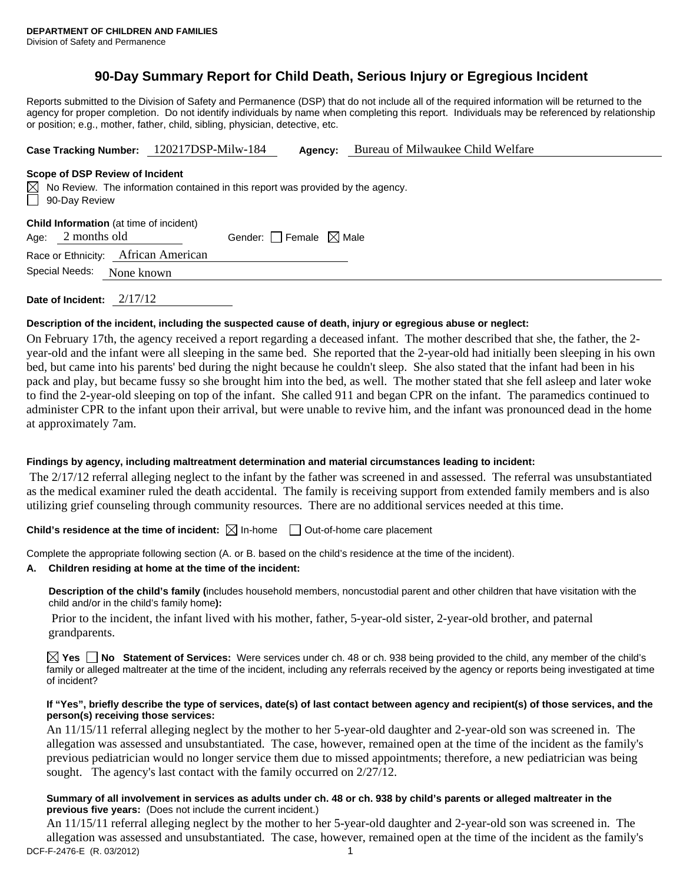# **90-Day Summary Report for Child Death, Serious Injury or Egregious Incident**

Reports submitted to the Division of Safety and Permanence (DSP) that do not include all of the required information will be returned to the agency for proper completion. Do not identify individuals by name when completing this report. Individuals may be referenced by relationship or position; e.g., mother, father, child, sibling, physician, detective, etc.

**Case Tracking Number:** 120217DSP-Milw-184 **Agency:** Bureau of Milwaukee Child Welfare

#### **Scope of DSP Review of Incident**

 $\boxtimes$  No Review. The information contained in this report was provided by the agency. 90-Day Review

| <b>Child Information</b> (at time of incident) |                           |                                     |                                 |  |  |  |  |  |
|------------------------------------------------|---------------------------|-------------------------------------|---------------------------------|--|--|--|--|--|
|                                                | Age: $2$ months old       |                                     | Gender: Female $\boxtimes$ Male |  |  |  |  |  |
|                                                |                           | Race or Ethnicity: African American |                                 |  |  |  |  |  |
|                                                | Special Needs: None known |                                     |                                 |  |  |  |  |  |

**Date of Incident:** 2/17/12

#### **Description of the incident, including the suspected cause of death, injury or egregious abuse or neglect:**

On February 17th, the agency received a report regarding a deceased infant. The mother described that she, the father, the 2 year-old and the infant were all sleeping in the same bed. She reported that the 2-year-old had initially been sleeping in his own bed, but came into his parents' bed during the night because he couldn't sleep. She also stated that the infant had been in his pack and play, but became fussy so she brought him into the bed, as well. The mother stated that she fell asleep and later woke to find the 2-year-old sleeping on top of the infant. She called 911 and began CPR on the infant. The paramedics continued to administer CPR to the infant upon their arrival, but were unable to revive him, and the infant was pronounced dead in the home at approximately 7am.

#### **Findings by agency, including maltreatment determination and material circumstances leading to incident:**

 The 2/17/12 referral alleging neglect to the infant by the father was screened in and assessed. The referral was unsubstantiated as the medical examiner ruled the death accidental. The family is receiving support from extended family members and is also utilizing grief counseling through community resources. There are no additional services needed at this time.

#### **Child's residence at the time of incident:**  $\boxtimes$  In-home  $\Box$  Out-of-home care placement

Complete the appropriate following section (A. or B. based on the child's residence at the time of the incident).

#### **A. Children residing at home at the time of the incident:**

**Description of the child's family (**includes household members, noncustodial parent and other children that have visitation with the child and/or in the child's family home**):** 

 Prior to the incident, the infant lived with his mother, father, 5-year-old sister, 2-year-old brother, and paternal grandparents.

**Yes No Statement of Services:** Were services under ch. 48 or ch. 938 being provided to the child, any member of the child's family or alleged maltreater at the time of the incident, including any referrals received by the agency or reports being investigated at time of incident?

#### **If "Yes", briefly describe the type of services, date(s) of last contact between agency and recipient(s) of those services, and the person(s) receiving those services:**

An 11/15/11 referral alleging neglect by the mother to her 5-year-old daughter and 2-year-old son was screened in. The allegation was assessed and unsubstantiated. The case, however, remained open at the time of the incident as the family's previous pediatrician would no longer service them due to missed appointments; therefore, a new pediatrician was being sought. The agency's last contact with the family occurred on  $2/27/12$ .

#### **Summary of all involvement in services as adults under ch. 48 or ch. 938 by child's parents or alleged maltreater in the previous five years:** (Does not include the current incident.)

DCF-F-2476-E (R. 03/2012) 1 An 11/15/11 referral alleging neglect by the mother to her 5-year-old daughter and 2-year-old son was screened in. The allegation was assessed and unsubstantiated. The case, however, remained open at the time of the incident as the family's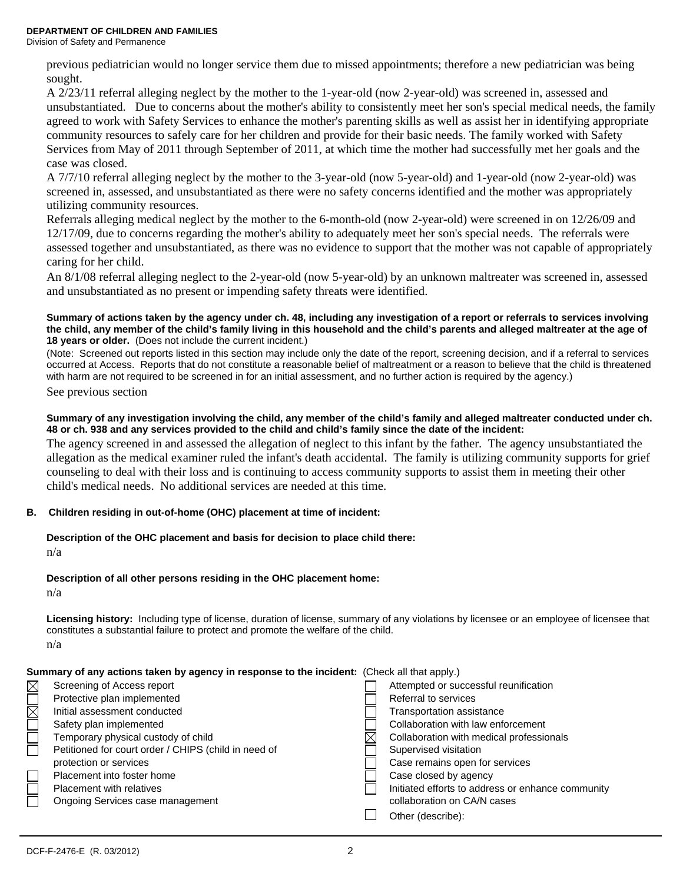Division of Safety and Permanence

previous pediatrician would no longer service them due to missed appointments; therefore a new pediatrician was being sought.

A 2/23/11 referral alleging neglect by the mother to the 1-year-old (now 2-year-old) was screened in, assessed and unsubstantiated. Due to concerns about the mother's ability to consistently meet her son's special medical needs, the family agreed to work with Safety Services to enhance the mother's parenting skills as well as assist her in identifying appropriate community resources to safely care for her children and provide for their basic needs. The family worked with Safety Services from May of 2011 through September of 2011, at which time the mother had successfully met her goals and the case was closed.

A 7/7/10 referral alleging neglect by the mother to the 3-year-old (now 5-year-old) and 1-year-old (now 2-year-old) was screened in, assessed, and unsubstantiated as there were no safety concerns identified and the mother was appropriately utilizing community resources.

Referrals alleging medical neglect by the mother to the 6-month-old (now 2-year-old) were screened in on 12/26/09 and 12/17/09, due to concerns regarding the mother's ability to adequately meet her son's special needs. The referrals were assessed together and unsubstantiated, as there was no evidence to support that the mother was not capable of appropriately caring for her child.

An 8/1/08 referral alleging neglect to the 2-year-old (now 5-year-old) by an unknown maltreater was screened in, assessed and unsubstantiated as no present or impending safety threats were identified.

#### **Summary of actions taken by the agency under ch. 48, including any investigation of a report or referrals to services involving the child, any member of the child's family living in this household and the child's parents and alleged maltreater at the age of 18 years or older.** (Does not include the current incident.)

(Note: Screened out reports listed in this section may include only the date of the report, screening decision, and if a referral to services occurred at Access. Reports that do not constitute a reasonable belief of maltreatment or a reason to believe that the child is threatened with harm are not required to be screened in for an initial assessment, and no further action is required by the agency.)

See previous section

#### **Summary of any investigation involving the child, any member of the child's family and alleged maltreater conducted under ch. 48 or ch. 938 and any services provided to the child and child's family since the date of the incident:**

The agency screened in and assessed the allegation of neglect to this infant by the father. The agency unsubstantiated the allegation as the medical examiner ruled the infant's death accidental. The family is utilizing community supports for grief counseling to deal with their loss and is continuing to access community supports to assist them in meeting their other child's medical needs. No additional services are needed at this time.

## **B. Children residing in out-of-home (OHC) placement at time of incident:**

#### **Description of the OHC placement and basis for decision to place child there:**

n/a

## **Description of all other persons residing in the OHC placement home:**

n/a

**Licensing history:** Including type of license, duration of license, summary of any violations by licensee or an employee of licensee that constitutes a substantial failure to protect and promote the welfare of the child. n/a

| <b>Summary of any actions taken by agency in response to the incident:</b> (Check all that apply.) |                                       |
|----------------------------------------------------------------------------------------------------|---------------------------------------|
| $\boxtimes$ Screening of Access report                                                             | Attempted or successful reunification |
| Protective plan implemented                                                                        | Referral to services                  |

| Transportation assistance |  |
|---------------------------|--|
|---------------------------|--|

- Safety plan implemented **Collaboration with law enforcement** Collaboration with law enforcement
- Temporary physical custody of child  $\boxtimes$  Collaboration with medical professionals
- Petitioned for court order / CHIPS (child in need of Supervised visitation
- protection or services **Case remains open for services** Case remains open for services
- Placement into foster home Case closed by agency
- Placement with relatives Initiated efforts to address or enhance community
- Ongoing Services case management collaboration on CA/N cases
	- Other (describe):

Initial assessment conducted